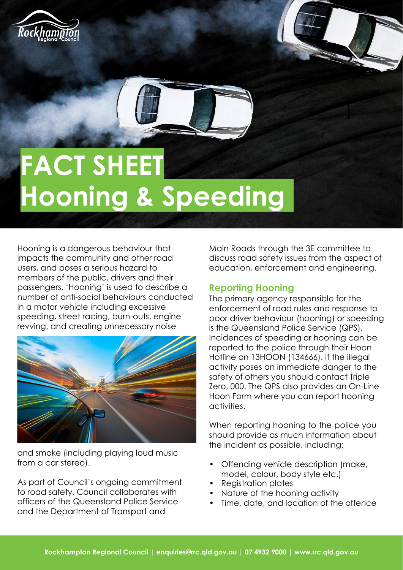



## **FACT SHEET Hooning & Speeding**

Hooning is a dangerous behaviour that impacts the community and other road users, and poses a serious hazard to members of the public, drivers and their passengers. 'Hooning' is used to describe a number of anti-social behaviours conducted in a motor vehicle including excessive speeding, street racing, burn-outs, engine revving, and creating unnecessary noise



and smoke (including playing loud music from a car stereo).

As part of Council's ongoing commitment to road safety, Council collaborates with officers of the Queensland Police Service and the Department of Transport and

Main Roads through the 3E committee to discuss road safety issues from the aspect of education, enforcement and engineering.

## **Reporting Hooning**

The primary agency responsible for the enforcement of road rules and response to poor driver behaviour (hooning) or speeding is the Queensland Police Service (QPS). Incidences of speeding or hooning can be reported to the police through their Hoon Hotline on 13HOON (134666). If the illegal activity poses an immediate danger to the safety of others you should contact Triple Zero, 000. The QPS also provides an On-Line Hoon Form where you can report hooning activities.

When reporting hooning to the police you should provide as much information about the incident as possible, including:

- Offending vehicle description (make, model, colour, body style etc.)
- Registration plates
- Nature of the hooning activity
- Time, date, and location of the offence